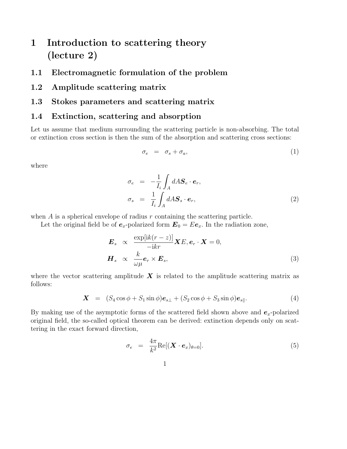# 1 Introduction to scattering theory (lecture 2)

- 1.1 Electromagnetic formulation of the problem
- 1.2 Amplitude scattering matrix
- 1.3 Stokes parameters and scattering matrix

#### 1.4 Extinction, scattering and absorption

Let us assume that medium surrounding the scattering particle is non-absorbing. The total or extinction cross section is then the sum of the absorption and scattering cross sections:

$$
\sigma_e = \sigma_s + \sigma_a,\tag{1}
$$

where

$$
\sigma_e = -\frac{1}{I_i} \int_A dA \mathbf{S}_e \cdot \mathbf{e}_r,
$$
\n
$$
\sigma_s = \frac{1}{I_i} \int_A dA \mathbf{S}_s \cdot \mathbf{e}_r,
$$
\n(2)

when  $A$  is a spherical envelope of radius  $r$  containing the scattering particle.

Let the original field be of  $e_x$ -polarized form  $E_0 = E e_x$ . In the radiation zone,

$$
\mathbf{E}_s \propto \frac{\exp[ik(r-z)]}{-ikr} \mathbf{X} E, \mathbf{e}_r \cdot \mathbf{X} = 0,
$$
  

$$
\mathbf{H}_s \propto \frac{k}{\omega \mu} \mathbf{e}_r \times \mathbf{E}_s,
$$
 (3)

where the vector scattering amplitude  $\boldsymbol{X}$  is related to the amplitude scattering matrix as follows:

$$
\mathbf{X} = (S_4 \cos \phi + S_1 \sin \phi) \mathbf{e}_{s\perp} + (S_2 \cos \phi + S_3 \sin \phi) \mathbf{e}_{s\parallel}. \tag{4}
$$

By making use of the asymptotic forms of the scattered field shown above and  $e_x$ -polarized original field, the so-called optical theorem can be derived: extinction depends only on scattering in the exact forward direction,

$$
\sigma_e = \frac{4\pi}{k^2} \text{Re}[(\mathbf{X} \cdot \mathbf{e}_x)_{\theta=0}]. \tag{5}
$$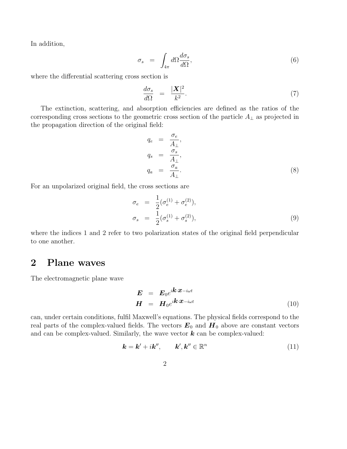In addition,

$$
\sigma_s = \int_{4\pi} d\Omega \frac{d\sigma_s}{d\Omega},\tag{6}
$$

where the differential scattering cross section is

$$
\frac{d\sigma_s}{d\Omega} = \frac{|\mathbf{X}|^2}{k^2}.\tag{7}
$$

The extinction, scattering, and absorption efficiencies are defined as the ratios of the corresponding cross sections to the geometric cross section of the particle  $A_{\perp}$  as projected in the propagation direction of the original field:

$$
q_e = \frac{\sigma_e}{A_\perp},
$$
  
\n
$$
q_s = \frac{\sigma_s}{A_\perp},
$$
  
\n
$$
q_a = \frac{\sigma_a}{A_\perp}.
$$
\n(8)

For an unpolarized original field, the cross sections are

$$
\sigma_e = \frac{1}{2} (\sigma_e^{(1)} + \sigma_e^{(2)}), \n\sigma_s = \frac{1}{2} (\sigma_s^{(1)} + \sigma_s^{(2)}),
$$
\n(9)

where the indices 1 and 2 refer to two polarization states of the original field perpendicular to one another.

#### 2 Plane waves

The electromagnetic plane wave

$$
\mathbf{E} = \mathbf{E}_0 e^{i\mathbf{k} \cdot \mathbf{x} - i\omega t} \n\mathbf{H} = \mathbf{H}_0 e^{i\mathbf{k} \cdot \mathbf{x} - i\omega t}
$$
\n(10)

can, under certain conditions, fulfil Maxwell's equations. The physical fields correspond to the real parts of the complex-valued fields. The vectors  $E_0$  and  $H_0$  above are constant vectors and can be complex-valued. Similarly, the wave vector  $k$  can be complex-valued:

$$
\mathbf{k} = \mathbf{k}' + i\mathbf{k}'', \qquad \mathbf{k}', \mathbf{k}'' \in \mathbb{R}^n \tag{11}
$$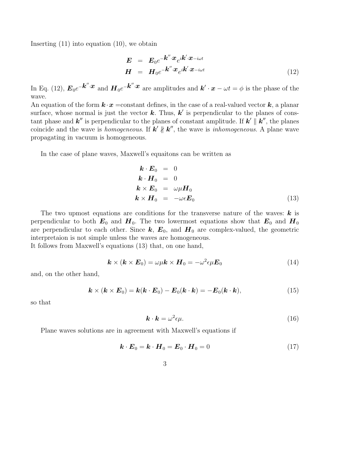Inserting (11) into equation (10), we obtain

$$
\mathbf{E} = \mathbf{E}_0 e^{-\mathbf{k}'' \cdot \mathbf{x}} e^{i \mathbf{k}' \cdot \mathbf{x} - i\omega t} \n\mathbf{H} = \mathbf{H}_0 e^{-\mathbf{k}'' \cdot \mathbf{x}} e^{i \mathbf{k}' \cdot \mathbf{x} - i\omega t}
$$
\n(12)

In Eq. (12),  $E_0e^{-\boldsymbol{k}''\cdot\boldsymbol{x}}$  and  $\boldsymbol{H}_0e^{-\boldsymbol{k}''\cdot\boldsymbol{x}}$  are amplitudes and  $\boldsymbol{k}'\cdot\boldsymbol{x}-\omega t=\phi$  is the phase of the wave.

An equation of the form  $k \cdot x = constant$  defines, in the case of a real-valued vector  $k$ , a planar surface, whose normal is just the vector  $k$ . Thus,  $k'$  is perpendicular to the planes of constant phase and  $k''$  is perpendicular to the planes of constant amplitude. If  $k' \parallel k''$ , the planes coincide and the wave is *homogeneous*. If  $k' \nparallel k''$ , the wave is *inhomogeneous*. A plane wave propagating in vacuum is homogeneous.

In the case of plane waves, Maxwell's equaitons can be written as

$$
\begin{aligned}\n\boldsymbol{k} \cdot \boldsymbol{E}_0 &= 0\\ \n\boldsymbol{k} \cdot \boldsymbol{H}_0 &= 0\\ \n\boldsymbol{k} \times \boldsymbol{E}_0 &= \omega \mu \boldsymbol{H}_0\\ \n\boldsymbol{k} \times \boldsymbol{H}_0 &= -\omega \epsilon \boldsymbol{E}_0\n\end{aligned}
$$
\n(13)

The two upmost equations are conditions for the transverse nature of the waves:  $k$  is perpendicular to both  $E_0$  and  $H_0$ . The two lowermost equations show that  $E_0$  and  $H_0$ are perpendicular to each other. Since  $k, E_0$ , and  $H_0$  are complex-valued, the geometric interpretaion is not simple unless the waves are homogeneous.

It follows from Maxwell's equations (13) that, on one hand,

$$
\boldsymbol{k} \times (\boldsymbol{k} \times \boldsymbol{E}_0) = \omega \mu \boldsymbol{k} \times \boldsymbol{H}_0 = -\omega^2 \epsilon \mu \boldsymbol{E}_0 \tag{14}
$$

and, on the other hand,

$$
\mathbf{k} \times (\mathbf{k} \times \mathbf{E}_0) = \mathbf{k} (\mathbf{k} \cdot \mathbf{E}_0) - \mathbf{E}_0 (\mathbf{k} \cdot \mathbf{k}) = -\mathbf{E}_0 (\mathbf{k} \cdot \mathbf{k}), \qquad (15)
$$

so that

$$
\mathbf{k} \cdot \mathbf{k} = \omega^2 \epsilon \mu. \tag{16}
$$

Plane waves solutions are in agreement with Maxwell's equations if

$$
\boldsymbol{k} \cdot \boldsymbol{E}_0 = \boldsymbol{k} \cdot \boldsymbol{H}_0 = \boldsymbol{E}_0 \cdot \boldsymbol{H}_0 = 0 \tag{17}
$$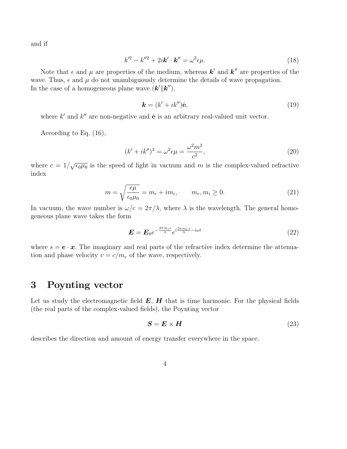and if

$$
k'^2 - k''^2 + 2i\mathbf{k}' \cdot \mathbf{k}'' = \omega^2 \epsilon \mu. \tag{18}
$$

Note that  $\epsilon$  and  $\mu$  are properties of the medium, whereas  $\mathbf{k}'$  and  $\mathbf{k}''$  are properties of the wave. Thus,  $\epsilon$  and  $\mu$  do not unambiguously determine the details of wave propagation. In the case of a homogeneous plane wave  $(\mathbf{k}'||\mathbf{k}'')$ ,

$$
\mathbf{k} = (k' + ik'')\hat{\mathbf{e}},\tag{19}
$$

where  $k'$  and  $k''$  are non-negative and  $\hat{\mathbf{e}}$  is an arbitrary real-valued unit vector.

According to Eq. (16),

$$
(k'+ik'')^2 = \omega^2 \epsilon \mu = \frac{\omega^2 m^2}{c^2},\qquad(20)
$$

where  $c = 1/\sqrt{\epsilon_0 \mu_0}$  is the speed of light in vacuum and m is the complex-valued refractive index

$$
m = \sqrt{\frac{\epsilon \mu}{\epsilon_0 \mu_0}} = m_r + im_i, \qquad m_r, m_i \ge 0.
$$
 (21)

In vacuum, the wave number is  $\omega/c = 2\pi/\lambda$ , where  $\lambda$  is the wavelength. The general homogeneous plane wave takes the form

$$
\mathbf{E} = \mathbf{E}_0 e^{-\frac{2\pi m_i s}{\lambda}} e^{i \frac{2\pi m_r s}{\lambda} - i\omega t} \tag{22}
$$

where  $s = e \cdot x$ . The imaginary and real parts of the refractive index determine the attenuation and phase velocity  $v = c/m_r$  of the wave, respectively.

## 3 Poynting vector

Let us study the electromagnetic field  $E$ ,  $H$  that is time harmonic. For the physical fields (the real parts of the complex-valued fields), the Poynting vector

$$
S = E \times H \tag{23}
$$

describes the direction and amount of energy transfer everywhere in the space.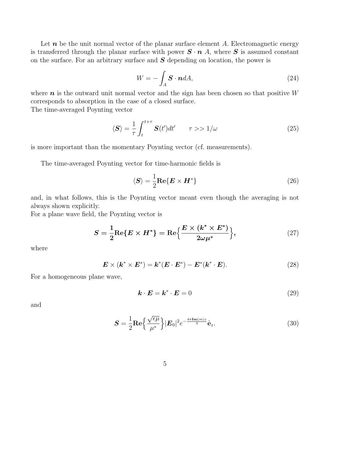Let  $n$  be the unit normal vector of the planar surface element A. Electromagnetic energy is transferred through the planar surface with power  $S \cdot n$  A, where S is assumed constant on the surface. For an arbitrary surface and  $S$  depending on location, the power is

$$
W = -\int_{A} \mathbf{S} \cdot \mathbf{n} dA, \tag{24}
$$

where  $n$  is the outward unit normal vector and the sign has been chosen so that positive  $W$ corresponds to absorption in the case of a closed surface.

The time-averaged Poynting vector

$$
\langle S \rangle = \frac{1}{\tau} \int_{t}^{t+\tau} S(t')dt' \qquad \tau >> 1/\omega \tag{25}
$$

is more important than the momentary Poynting vector (cf. measurements).

The time-averaged Poynting vector for time-harmonic fields is

$$
\langle S \rangle = \frac{1}{2} \text{Re} \{ E \times H^* \}
$$
 (26)

and, in what follows, this is the Poynting vector meant even though the averaging is not always shown explicitly.

For a plane wave field, the Poynting vector is

$$
S = \frac{1}{2}\text{Re}\{E \times H^*\} = \text{Re}\left\{\frac{E \times (k^* \times E^*)}{2\omega\mu^*}\right\},\tag{27}
$$

where

$$
\boldsymbol{E} \times (\boldsymbol{k}^* \times \boldsymbol{E}^*) = \boldsymbol{k}^* (\boldsymbol{E} \cdot \boldsymbol{E}^*) - \boldsymbol{E}^* (\boldsymbol{k}^* \cdot \boldsymbol{E}). \tag{28}
$$

For a homogeneous plane wave,

$$
\mathbf{k} \cdot \mathbf{E} = \mathbf{k}^* \cdot \mathbf{E} = 0 \tag{29}
$$

and

$$
\mathbf{S} = \frac{1}{2} \mathbf{Re} \left\{ \frac{\sqrt{\epsilon \mu}}{\mu^*} \right\} |\mathbf{E}_0|^2 e^{-\frac{4\pi \mathbf{Im}(m)z}{\lambda}} \hat{\mathbf{e}}_z.
$$
 (30)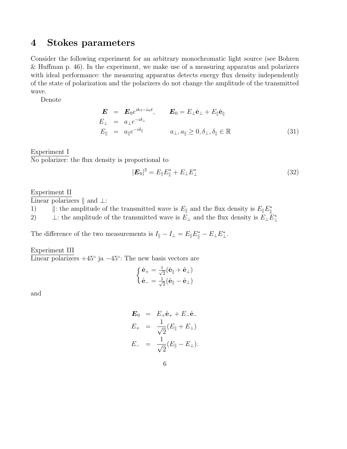### 4 Stokes parameters

Consider the following experiment for an arbitrary monochromatic light source (see Bohren & Huffman p. 46). In the experiment, we make use of a measuring apparatus and polarizers with ideal performance: the measuring apparatus detects energy flux density independently of the state of polarization and the polarizers do not change the amplitude of the transmitted wave.

Denote

$$
\begin{aligned}\n\boldsymbol{E} &= \boldsymbol{E}_0 e^{ikz - i\omega t}, & \boldsymbol{E}_0 &= E_\perp \hat{\mathbf{e}}_\perp + E_\parallel \hat{\mathbf{e}}_\parallel \\
E_\perp &= a_\perp e^{-i\delta_\perp} \\
E_\parallel &= a_\parallel e^{-i\delta_\parallel} & a_\perp, a_\parallel \geq 0, \delta_\perp, \delta_\parallel \in \mathbb{R}\n\end{aligned} \tag{31}
$$

Experiment I No polarizer: the flux density is proportional to

$$
|\mathbf{E}_0|^2 = E_{\parallel} E_{\parallel}^* + E_{\perp} E_{\perp}^* \tag{32}
$$

Experiment II

Linear polarizers  $\parallel$  and  $\perp$ :

1)  $\|\cdot\|$ : the amplitude of the transmitted wave is  $E_{\parallel}$  and the flux density is  $E_{\parallel}E_{\parallel}^*$ 

2)  $\bot$ : the amplitude of the transmitted wave is  $E_{\bot}$  and the flux density is  $E_{\bot}E_{\bot}^*$ 

The difference of the two measurements is  $I_{\parallel} - I_{\perp} = E_{\parallel} E_{\parallel}^* - E_{\perp} E_{\perp}^*$ .

Experiment III  $\overline{\text{Linear polarizers}} + 45^{\circ}$  ja  $-45^{\circ}$ : The new basis vectors are

$$
\begin{cases}\n\hat{\mathbf{e}}_{+} = \frac{1}{\sqrt{2}}(\hat{\mathbf{e}}_{\parallel} + \hat{\mathbf{e}}_{\perp}) \\
\hat{\mathbf{e}}_{-} = \frac{1}{\sqrt{2}}(\hat{\mathbf{e}}_{\parallel} - \hat{\mathbf{e}}_{\perp})\n\end{cases}
$$

and

$$
E_0 = E_+\hat{e}_+ + E_-\hat{e}_-
$$
  
\n
$$
E_+ = \frac{1}{\sqrt{2}}(E_{\parallel} + E_{\perp})
$$
  
\n
$$
E_- = \frac{1}{\sqrt{2}}(E_{\parallel} - E_{\perp}).
$$